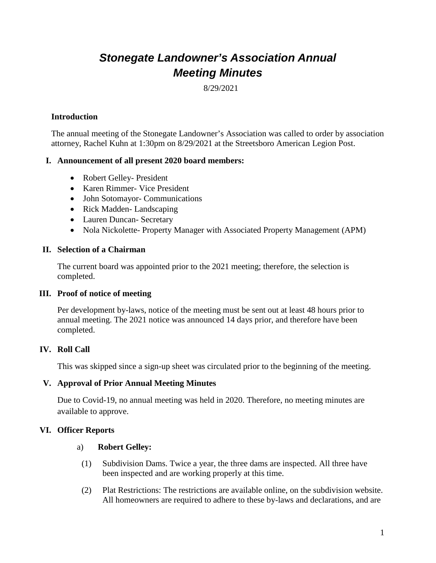# *Stonegate Landowner's Association Annual Meeting Minutes*

8/29/2021

## **Introduction**

The annual meeting of the Stonegate Landowner's Association was called to order by association attorney, Rachel Kuhn at 1:30pm on 8/29/2021 at the Streetsboro American Legion Post.

#### **I. Announcement of all present 2020 board members:**

- Robert Gelley- President
- Karen Rimmer- Vice President
- John Sotomayor- Communications
- Rick Madden-Landscaping
- Lauren Duncan- Secretary
- Nola Nickolette- Property Manager with Associated Property Management (APM)

## **II. Selection of a Chairman**

The current board was appointed prior to the 2021 meeting; therefore, the selection is completed.

#### **III. Proof of notice of meeting**

Per development by-laws, notice of the meeting must be sent out at least 48 hours prior to annual meeting. The 2021 notice was announced 14 days prior, and therefore have been completed.

# **IV. Roll Call**

This was skipped since a sign-up sheet was circulated prior to the beginning of the meeting.

#### **V. Approval of Prior Annual Meeting Minutes**

Due to Covid-19, no annual meeting was held in 2020. Therefore, no meeting minutes are available to approve.

# **VI. Officer Reports**

#### a) **Robert Gelley:**

- (1) Subdivision Dams. Twice a year, the three dams are inspected. All three have been inspected and are working properly at this time.
- (2) Plat Restrictions: The restrictions are available online, on the subdivision website. All homeowners are required to adhere to these by-laws and declarations, and are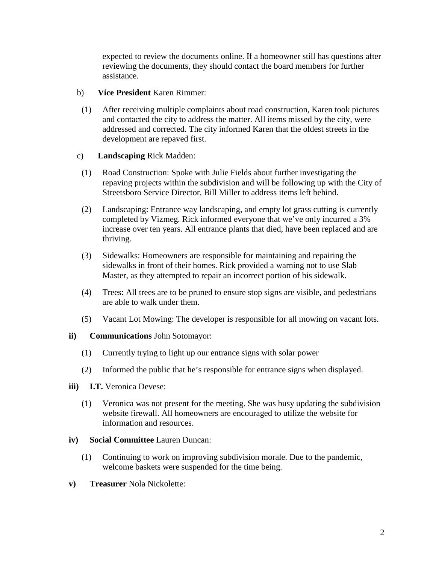expected to review the documents online. If a homeowner still has questions after reviewing the documents, they should contact the board members for further assistance.

#### b) **Vice President** Karen Rimmer:

(1) After receiving multiple complaints about road construction, Karen took pictures and contacted the city to address the matter. All items missed by the city, were addressed and corrected. The city informed Karen that the oldest streets in the development are repaved first.

## c) **Landscaping** Rick Madden:

- (1) Road Construction: Spoke with Julie Fields about further investigating the repaving projects within the subdivision and will be following up with the City of Streetsboro Service Director, Bill Miller to address items left behind.
- (2) Landscaping: Entrance way landscaping, and empty lot grass cutting is currently completed by Vizmeg. Rick informed everyone that we've only incurred a 3% increase over ten years. All entrance plants that died, have been replaced and are thriving.
- (3) Sidewalks: Homeowners are responsible for maintaining and repairing the sidewalks in front of their homes. Rick provided a warning not to use Slab Master, as they attempted to repair an incorrect portion of his sidewalk.
- (4) Trees: All trees are to be pruned to ensure stop signs are visible, and pedestrians are able to walk under them.
- (5) Vacant Lot Mowing: The developer is responsible for all mowing on vacant lots.

#### **ii) Communications** John Sotomayor:

- (1) Currently trying to light up our entrance signs with solar power
- (2) Informed the public that he's responsible for entrance signs when displayed.
- **iii) I.T.** Veronica Devese:
	- (1) Veronica was not present for the meeting. She was busy updating the subdivision website firewall. All homeowners are encouraged to utilize the website for information and resources.
- **iv) Social Committee** Lauren Duncan:
	- (1) Continuing to work on improving subdivision morale. Due to the pandemic, welcome baskets were suspended for the time being.
- **v) Treasurer** Nola Nickolette: